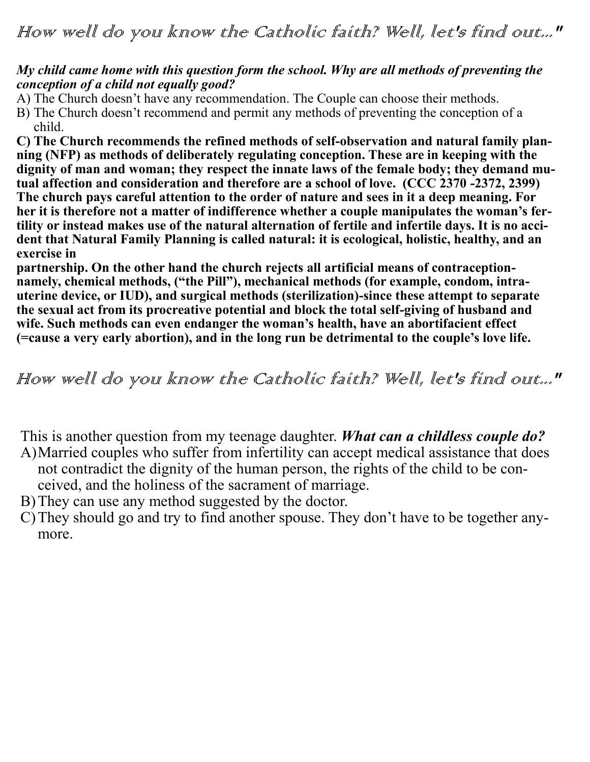## *My child came home with this question form the school. Why are all methods of preventing the conception of a child not equally good?*

A) The Church doesn't have any recommendation. The Couple can choose their methods.

B) The Church doesn't recommend and permit any methods of preventing the conception of a child.

**C) The Church recommends the refined methods of self-observation and natural family planning (NFP) as methods of deliberately regulating conception. These are in keeping with the dignity of man and woman; they respect the innate laws of the female body; they demand mutual affection and consideration and therefore are a school of love. (CCC 2370 -2372, 2399) The church pays careful attention to the order of nature and sees in it a deep meaning. For her it is therefore not a matter of indifference whether a couple manipulates the woman's fertility or instead makes use of the natural alternation of fertile and infertile days. It is no accident that Natural Family Planning is called natural: it is ecological, holistic, healthy, and an exercise in** 

**partnership. On the other hand the church rejects all artificial means of contraceptionnamely, chemical methods, ("the Pill"), mechanical methods (for example, condom, intrauterine device, or IUD), and surgical methods (sterilization)-since these attempt to separate the sexual act from its procreative potential and block the total self-giving of husband and wife. Such methods can even endanger the woman's health, have an abortifacient effect (=cause a very early abortion), and in the long run be detrimental to the couple's love life.**

How well do you know the Catholic faith? Well, let's find out..."

This is another question from my teenage daughter. *What can a childless couple do?* A)Married couples who suffer from infertility can accept medical assistance that does not contradict the dignity of the human person, the rights of the child to be con-

- ceived, and the holiness of the sacrament of marriage. B)They can use any method suggested by the doctor.
- C)They should go and try to find another spouse. They don't have to be together anymore.